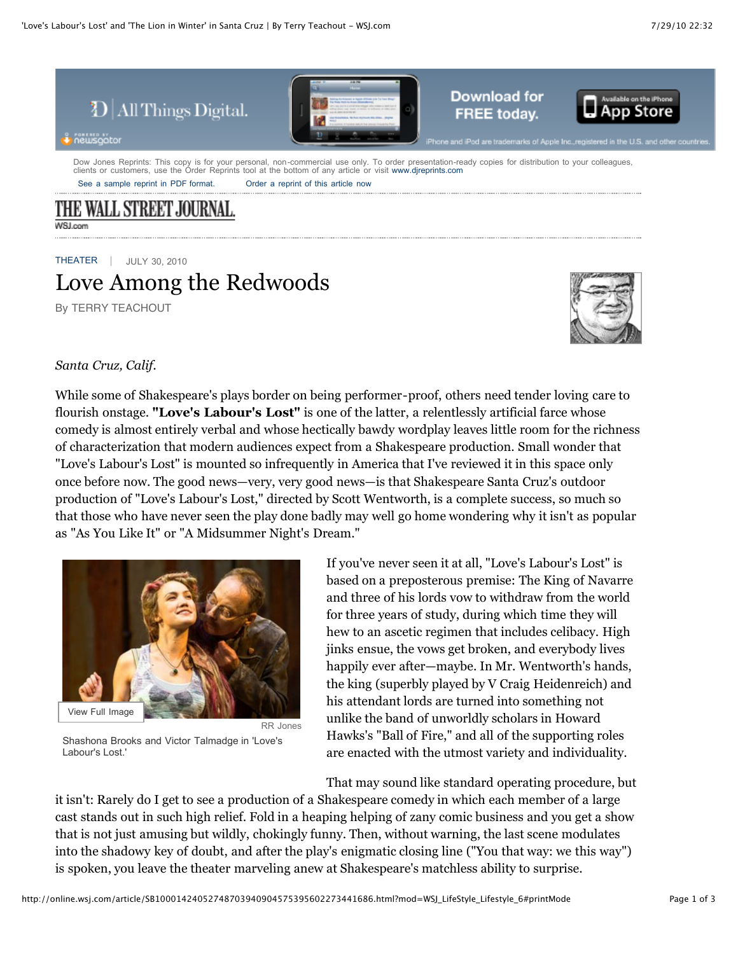

WALL STREET.JOURNAL **WSJ.com** 

[THEATER](http://online.wsj.com/public/page/news-arts-movies-music.html) JULY 30, 2010

## Love Among the Redwoods

By TERRY TEACHOUT



## *Santa Cruz, Calif.*

While some of Shakespeare's plays border on being performer-proof, others need tender loving care to flourish onstage. **"Love's Labour's Lost"** is one of the latter, a relentlessly artificial farce whose comedy is almost entirely verbal and whose hectically bawdy wordplay leaves little room for the richness of characterization that modern audiences expect from a Shakespeare production. Small wonder that "Love's Labour's Lost" is mounted so infrequently in America that I've reviewed it in this space only once before now. The good news—very, very good news—is that Shakespeare Santa Cruz's outdoor production of "Love's Labour's Lost," directed by Scott Wentworth, is a complete success, so much so that those who have never seen the play done badly may well go home wondering why it isn't as popular as "As You Like It" or "A Midsummer Night's Dream."



RR Jones

Shashona Brooks and Victor Talmadge in 'Love's Labour's Lost.'

If you've never seen it at all, "Love's Labour's Lost" is based on a preposterous premise: The King of Navarre and three of his lords vow to withdraw from the world for three years of study, during which time they will hew to an ascetic regimen that includes celibacy. High jinks ensue, the vows get broken, and everybody lives happily ever after—maybe. In Mr. Wentworth's hands, the king (superbly played by V Craig Heidenreich) and his attendant lords are turned into something not unlike the band of unworldly scholars in Howard Hawks's "Ball of Fire," and all of the supporting roles are enacted with the utmost variety and individuality.

That may sound like standard operating procedure, but

it isn't: Rarely do I get to see a production of a Shakespeare comedy in which each member of a large cast stands out in such high relief. Fold in a heaping helping of zany comic business and you get a show that is not just amusing but wildly, chokingly funny. Then, without warning, the last scene modulates into the shadowy key of doubt, and after the play's enigmatic closing line ("You that way: we this way") is spoken, you leave the theater marveling anew at Shakespeare's matchless ability to surprise.